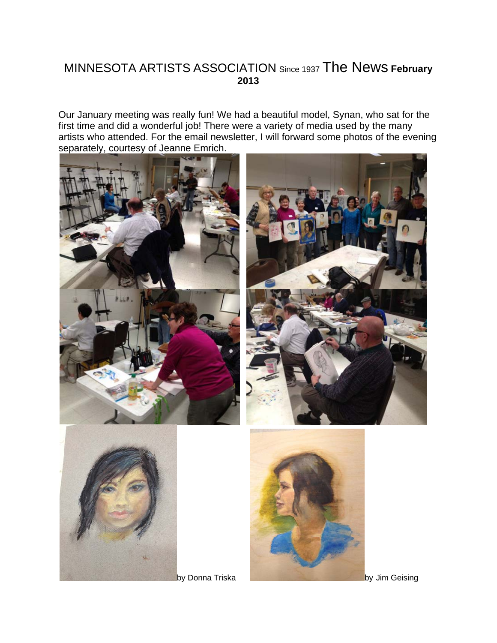### MINNESOTA ARTISTS ASSOCIATION Since 1937 The News **February 2013**

Our January meeting was really fun! We had a beautiful model, Synan, who sat for the first time and did a wonderful job! There were a variety of media used by the many artists who attended. For the email newsletter, I will forward some photos of the evening separately, courtesy of Jeanne Emrich.







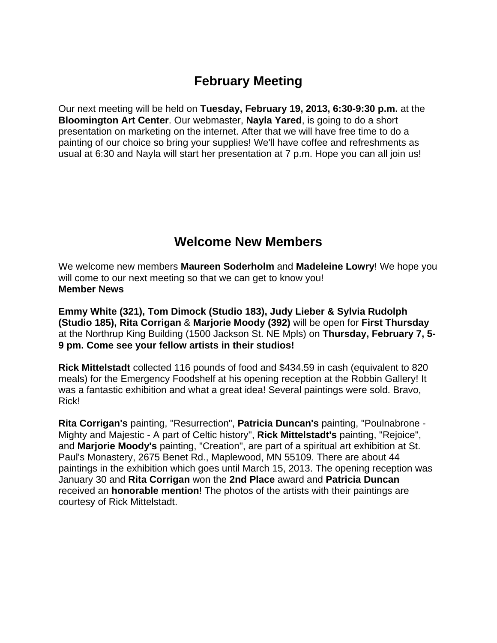## **February Meeting**

Our next meeting will be held on **Tuesday, February 19, 2013, 6:30-9:30 p.m.** at the **Bloomington Art Center**. Our webmaster, **Nayla Yared**, is going to do a short presentation on marketing on the internet. After that we will have free time to do a painting of our choice so bring your supplies! We'll have coffee and refreshments as usual at 6:30 and Nayla will start her presentation at 7 p.m. Hope you can all join us!

### **Welcome New Members**

We welcome new members **Maureen Soderholm** and **Madeleine Lowry**! We hope you will come to our next meeting so that we can get to know you! **Member News**

**Emmy White (321), Tom Dimock (Studio 183), Judy Lieber & Sylvia Rudolph (Studio 185), Rita Corrigan** & **Marjorie Moody (392)** will be open for **First Thursday** at the Northrup King Building (1500 Jackson St. NE Mpls) on **Thursday, February 7, 5- 9 pm. Come see your fellow artists in their studios!** 

**Rick Mittelstadt** collected 116 pounds of food and \$434.59 in cash (equivalent to 820 meals) for the Emergency Foodshelf at his opening reception at the Robbin Gallery! It was a fantastic exhibition and what a great idea! Several paintings were sold. Bravo, Rick!

Mighty and Majestic - A part of Celtic history", **Rick Mittelstadt's** painting, "Rejoice", paintings in the exhibition which goes until March 15, 2013. The opening reception was January 30 and Rita Corrigan won the 2nd Place award and Patricia Duncan received an **honorable mention**! The photos of the artists with their paintings are courtesy of Rick Mittelstadt. **Rita Corrigan's** painting, "Resurrection", **Patricia Duncan's** painting, "Poulnabrone and **Marjorie Moody's** painting, "Creation", are part of a spiritual art exhibition at St. Paul's Monastery, 2675 Benet Rd., Maplewood, MN 55109. There are about 44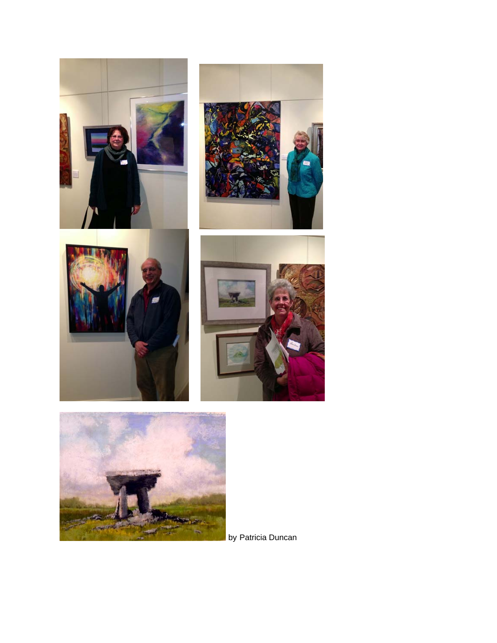



by Patricia Duncan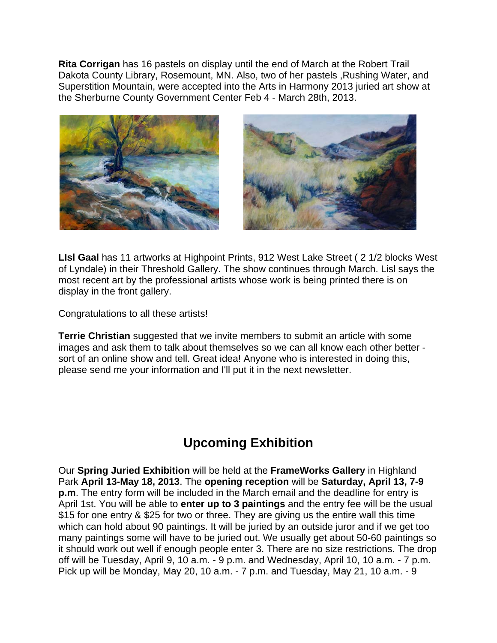**Rita Corrigan** has 16 pastels on display until the end of March at the Robert Trail Dakota County Library, Rosemount, MN. Also, two of her pastels ,Rushing Water, and Superstition Mountain, were accepted into the Arts in Harmony 2013 juried art show at the Sherburne County Government Center Feb 4 - March 28th, 2013.





**LIsl Gaal** has 11 artworks at Highpoint Prints, 912 West Lake Street ( 2 1/2 blocks West of Lyndale) in their Threshold Gallery. The show continues through March. Lisl says the most recent art by the professional artists whose work is being printed there is on display in the front gallery.

Congratulations to all these artists!

**Terrie Christian** suggested that we invite members to submit an article with some images and ask them to talk about themselves so we can all know each other better sort of an online show and tell. Great idea! Anyone who is interested in doing this, please send me your information and I'll put it in the next newsletter.

# **Upcoming Exhibition**

Our **Spring Juried Exhibition** will be held at the **FrameWorks Gallery** in Highland Park **April 13-May 18, 2013**. The **opening reception** will be **Saturday, April 13, 7-9 p.m**. The entry form will be included in the March email and the deadline for entry is April 1st. You will be able to **enter up to 3 paintings** and the entry fee will be the usual \$15 for one entry & \$25 for two or three. They are giving us the entire wall this time which can hold about 90 paintings. It will be juried by an outside juror and if we get too many paintings some will have to be juried out. We usually get about 50-60 paintings so it should work out well if enough people enter 3. There are no size restrictions. The drop off will be Tuesday, April 9, 10 a.m. - 9 p.m. and Wednesday, April 10, 10 a.m. - 7 p.m. Pick up will be Monday, May 20, 10 a.m.  $-7$  p.m. and Tuesday, May 21, 10 a.m.  $-9$